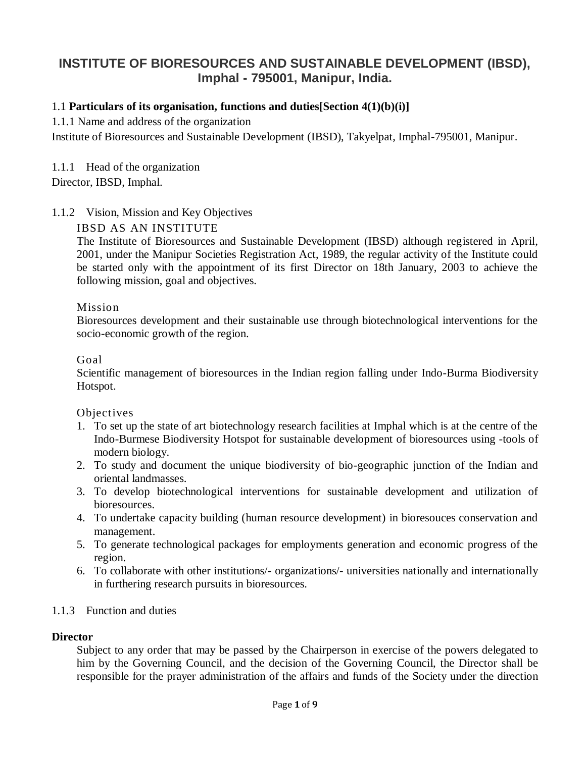# **INSTITUTE OF BIORESOURCES AND SUSTAINABLE DEVELOPMENT (IBSD), Imphal - 795001, Manipur, India.**

### 1.1 **Particulars of its organisation, functions and duties[Section 4(1)(b)(i)]**

1.1.1 Name and address of the organization

Institute of Bioresources and Sustainable Development (IBSD), Takyelpat, Imphal-795001, Manipur.

1.1.1 Head of the organization

Director, IBSD, Imphal.

### 1.1.2 Vision, Mission and Key Objectives

### IBSD AS AN INSTITUTE

The Institute of Bioresources and Sustainable Development (IBSD) although registered in April, 2001, under the Manipur Societies Registration Act, 1989, the regular activity of the Institute could be started only with the appointment of its first Director on 18th January, 2003 to achieve the following mission, goal and objectives.

#### Mission

Bioresources development and their sustainable use through biotechnological interventions for the socio-economic growth of the region.

#### Goal

Scientific management of bioresources in the Indian region falling under Indo-Burma Biodiversity Hotspot.

#### Objectives

- 1. To set up the state of art biotechnology research facilities at Imphal which is at the centre of the Indo-Burmese Biodiversity Hotspot for sustainable development of bioresources using -tools of modern biology.
- 2. To study and document the unique biodiversity of bio-geographic junction of the Indian and oriental landmasses.
- 3. To develop biotechnological interventions for sustainable development and utilization of bioresources.
- 4. To undertake capacity building (human resource development) in bioresouces conservation and management.
- 5. To generate technological packages for employments generation and economic progress of the region.
- 6. To collaborate with other institutions/- organizations/- universities nationally and internationally in furthering research pursuits in bioresources.

### 1.1.3 Function and duties

#### **Director**

Subject to any order that may be passed by the Chairperson in exercise of the powers delegated to him by the Governing Council, and the decision of the Governing Council, the Director shall be responsible for the prayer administration of the affairs and funds of the Society under the direction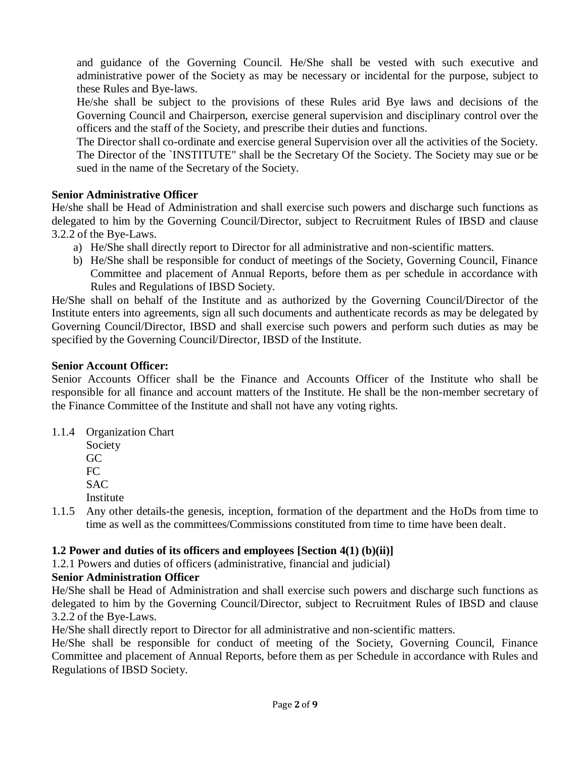and guidance of the Governing Council. He/She shall be vested with such executive and administrative power of the Society as may be necessary or incidental for the purpose, subject to these Rules and Bye-laws.

He/she shall be subject to the provisions of these Rules arid Bye laws and decisions of the Governing Council and Chairperson, exercise general supervision and disciplinary control over the officers and the staff of the Society, and prescribe their duties and functions.

The Director shall co-ordinate and exercise general Supervision over all the activities of the Society. The Director of the `INSTITUTE" shall be the Secretary Of the Society. The Society may sue or be sued in the name of the Secretary of the Society.

## **Senior Administrative Officer**

He/she shall be Head of Administration and shall exercise such powers and discharge such functions as delegated to him by the Governing Council/Director, subject to Recruitment Rules of IBSD and clause 3.2.2 of the Bye-Laws.

- a) He/She shall directly report to Director for all administrative and non-scientific matters.
- b) He/She shall be responsible for conduct of meetings of the Society, Governing Council, Finance Committee and placement of Annual Reports, before them as per schedule in accordance with Rules and Regulations of IBSD Society.

He/She shall on behalf of the Institute and as authorized by the Governing Council/Director of the Institute enters into agreements, sign all such documents and authenticate records as may be delegated by Governing Council/Director, IBSD and shall exercise such powers and perform such duties as may be specified by the Governing Council/Director, IBSD of the Institute.

### **Senior Account Officer:**

Senior Accounts Officer shall be the Finance and Accounts Officer of the Institute who shall be responsible for all finance and account matters of the Institute. He shall be the non-member secretary of the Finance Committee of the Institute and shall not have any voting rights.

- 1.1.4 Organization Chart
	- Society GC FC SAC
	- Institute
- 1.1.5 Any other details-the genesis, inception, formation of the department and the HoDs from time to time as well as the committees/Commissions constituted from time to time have been dealt.

### **1.2 Power and duties of its officers and employees [Section 4(1) (b)(ii)]**

1.2.1 Powers and duties of officers (administrative, financial and judicial)

# **Senior Administration Officer**

He/She shall be Head of Administration and shall exercise such powers and discharge such functions as delegated to him by the Governing Council/Director, subject to Recruitment Rules of IBSD and clause 3.2.2 of the Bye-Laws.

He/She shall directly report to Director for all administrative and non-scientific matters.

He/She shall be responsible for conduct of meeting of the Society, Governing Council, Finance Committee and placement of Annual Reports, before them as per Schedule in accordance with Rules and Regulations of IBSD Society.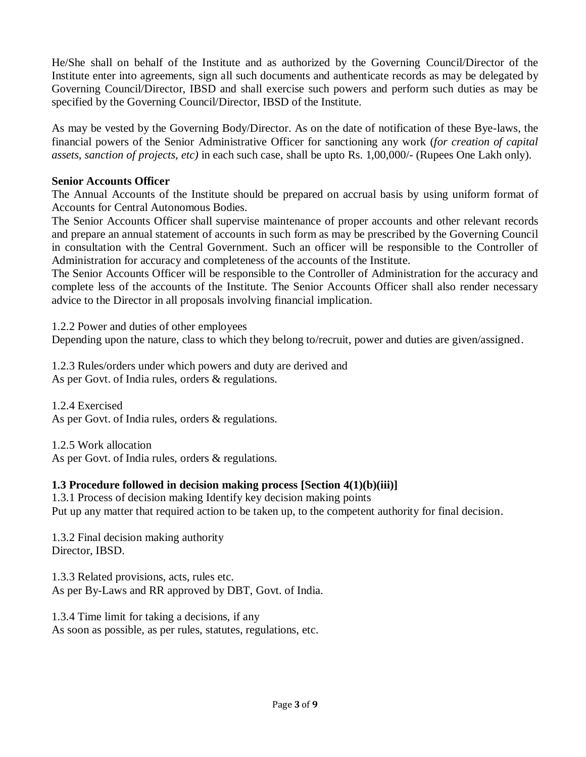He/She shall on behalf of the Institute and as authorized by the Governing Council/Director of the Institute enter into agreements, sign all such documents and authenticate records as may be delegated by Governing Council/Director, IBSD and shall exercise such powers and perform such duties as may be specified by the Governing Council/Director, IBSD of the Institute.

As may be vested by the Governing Body/Director. As on the date of notification of these Bye-laws, the financial powers of the Senior Administrative Officer for sanctioning any work (*for creation of capital assets, sanction of projects, etc)* in each such case, shall be upto Rs. 1,00,000/- (Rupees One Lakh only).

### **Senior Accounts Officer**

The Annual Accounts of the Institute should be prepared on accrual basis by using uniform format of Accounts for Central Autonomous Bodies.

The Senior Accounts Officer shall supervise maintenance of proper accounts and other relevant records and prepare an annual statement of accounts in such form as may be prescribed by the Governing Council in consultation with the Central Government. Such an officer will be responsible to the Controller of Administration for accuracy and completeness of the accounts of the Institute.

The Senior Accounts Officer will be responsible to the Controller of Administration for the accuracy and complete less of the accounts of the Institute. The Senior Accounts Officer shall also render necessary advice to the Director in all proposals involving financial implication.

1.2.2 Power and duties of other employees Depending upon the nature, class to which they belong to/recruit, power and duties are given/assigned.

1.2.3 Rules/orders under which powers and duty are derived and As per Govt. of India rules, orders & regulations.

1.2.4 Exercised As per Govt. of India rules, orders & regulations.

1.2.5 Work allocation As per Govt. of India rules, orders & regulations.

### **1.3 Procedure followed in decision making process [Section 4(1)(b)(iii)]**

1.3.1 Process of decision making Identify key decision making points Put up any matter that required action to be taken up, to the competent authority for final decision.

1.3.2 Final decision making authority Director, IBSD.

1.3.3 Related provisions, acts, rules etc. As per By-Laws and RR approved by DBT, Govt. of India.

1.3.4 Time limit for taking a decisions, if any As soon as possible, as per rules, statutes, regulations, etc.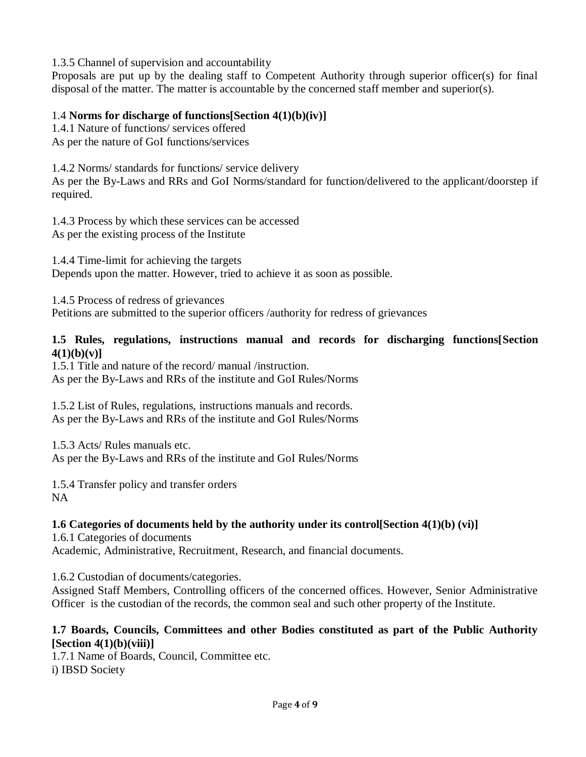1.3.5 Channel of supervision and accountability

Proposals are put up by the dealing staff to Competent Authority through superior officer(s) for final disposal of the matter. The matter is accountable by the concerned staff member and superior(s).

## 1.4 **Norms for discharge of functions[Section 4(1)(b)(iv)]**

1.4.1 Nature of functions/ services offered As per the nature of GoI functions/services

1.4.2 Norms/ standards for functions/ service delivery

As per the By-Laws and RRs and GoI Norms/standard for function/delivered to the applicant/doorstep if required.

1.4.3 Process by which these services can be accessed As per the existing process of the Institute

1.4.4 Time-limit for achieving the targets Depends upon the matter. However, tried to achieve it as soon as possible.

1.4.5 Process of redress of grievances Petitions are submitted to the superior officers /authority for redress of grievances

### **1.5 Rules, regulations, instructions manual and records for discharging functions[Section 4(1)(b)(v)]**

1.5.1 Title and nature of the record/ manual /instruction.

As per the By-Laws and RRs of the institute and GoI Rules/Norms

1.5.2 List of Rules, regulations, instructions manuals and records. As per the By-Laws and RRs of the institute and GoI Rules/Norms

1.5.3 Acts/ Rules manuals etc. As per the By-Laws and RRs of the institute and GoI Rules/Norms

1.5.4 Transfer policy and transfer orders NA

# **1.6 Categories of documents held by the authority under its control[Section 4(1)(b) (vi)]**

1.6.1 Categories of documents Academic, Administrative, Recruitment, Research, and financial documents.

1.6.2 Custodian of documents/categories.

Assigned Staff Members, Controlling officers of the concerned offices. However, Senior Administrative Officer is the custodian of the records, the common seal and such other property of the Institute.

### **1.7 Boards, Councils, Committees and other Bodies constituted as part of the Public Authority [Section 4(1)(b)(viii)]**

1.7.1 Name of Boards, Council, Committee etc. i) IBSD Society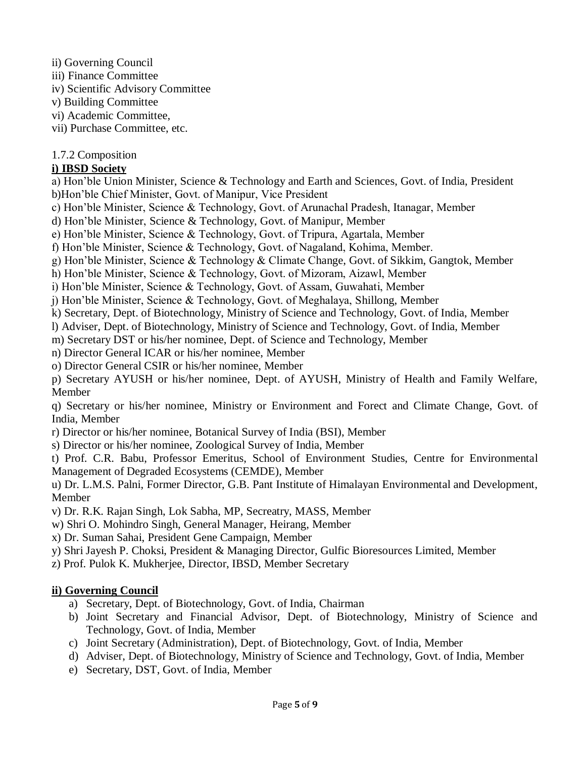ii) Governing Council

iii) Finance Committee

- iv) Scientific Advisory Committee
- v) Building Committee
- vi) Academic Committee,
- vii) Purchase Committee, etc.

# 1.7.2 Composition

# **i) IBSD Society**

- a) Hon'ble Union Minister, Science & Technology and Earth and Sciences, Govt. of India, President b)Hon'ble Chief Minister, Govt. of Manipur, Vice President
- c) Hon'ble Minister, Science & Technology, Govt. of Arunachal Pradesh, Itanagar, Member
- d) Hon'ble Minister, Science & Technology, Govt. of Manipur, Member
- e) Hon'ble Minister, Science & Technology, Govt. of Tripura, Agartala, Member
- f) Hon'ble Minister, Science & Technology, Govt. of Nagaland, Kohima, Member.
- g) Hon'ble Minister, Science & Technology & Climate Change, Govt. of Sikkim, Gangtok, Member
- h) Hon'ble Minister, Science & Technology, Govt. of Mizoram, Aizawl, Member
- i) Hon'ble Minister, Science & Technology, Govt. of Assam, Guwahati, Member
- j) Hon'ble Minister, Science & Technology, Govt. of Meghalaya, Shillong, Member
- k) Secretary, Dept. of Biotechnology, Ministry of Science and Technology, Govt. of India, Member
- l) Adviser, Dept. of Biotechnology, Ministry of Science and Technology, Govt. of India, Member
- m) Secretary DST or his/her nominee, Dept. of Science and Technology, Member
- n) Director General ICAR or his/her nominee, Member
- o) Director General CSIR or his/her nominee, Member
- p) Secretary AYUSH or his/her nominee, Dept. of AYUSH, Ministry of Health and Family Welfare, Member
- q) Secretary or his/her nominee, Ministry or Environment and Forect and Climate Change, Govt. of India, Member
- r) Director or his/her nominee, Botanical Survey of India (BSI), Member
- s) Director or his/her nominee, Zoological Survey of India, Member
- t) Prof. C.R. Babu, Professor Emeritus, School of Environment Studies, Centre for Environmental Management of Degraded Ecosystems (CEMDE), Member
- u) Dr. L.M.S. Palni, Former Director, G.B. Pant Institute of Himalayan Environmental and Development, Member
- v) Dr. R.K. Rajan Singh, Lok Sabha, MP, Secreatry, MASS, Member
- w) Shri O. Mohindro Singh, General Manager, Heirang, Member
- x) Dr. Suman Sahai, President Gene Campaign, Member
- y) Shri Jayesh P. Choksi, President & Managing Director, Gulfic Bioresources Limited, Member
- z) Prof. Pulok K. Mukherjee, Director, IBSD, Member Secretary

# **ii) Governing Council**

- a) Secretary, Dept. of Biotechnology, Govt. of India, Chairman
- b) Joint Secretary and Financial Advisor, Dept. of Biotechnology, Ministry of Science and Technology, Govt. of India, Member
- c) Joint Secretary (Administration), Dept. of Biotechnology, Govt. of India, Member
- d) Adviser, Dept. of Biotechnology, Ministry of Science and Technology, Govt. of India, Member
- e) Secretary, DST, Govt. of India, Member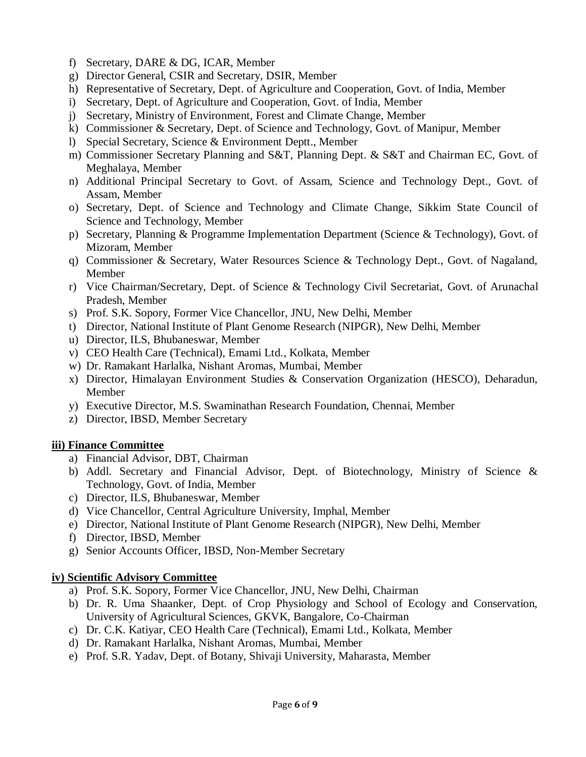- f) Secretary, DARE & DG, ICAR, Member
- g) Director General, CSIR and Secretary, DSIR, Member
- h) Representative of Secretary, Dept. of Agriculture and Cooperation, Govt. of India, Member
- i) Secretary, Dept. of Agriculture and Cooperation, Govt. of India, Member
- j) Secretary, Ministry of Environment, Forest and Climate Change, Member
- k) Commissioner & Secretary, Dept. of Science and Technology, Govt. of Manipur, Member
- l) Special Secretary, Science & Environment Deptt., Member
- m) Commissioner Secretary Planning and S&T, Planning Dept. & S&T and Chairman EC, Govt. of Meghalaya, Member
- n) Additional Principal Secretary to Govt. of Assam, Science and Technology Dept., Govt. of Assam, Member
- o) Secretary, Dept. of Science and Technology and Climate Change, Sikkim State Council of Science and Technology, Member
- p) Secretary, Planning & Programme Implementation Department (Science & Technology), Govt. of Mizoram, Member
- q) Commissioner & Secretary, Water Resources Science & Technology Dept., Govt. of Nagaland, Member
- r) Vice Chairman/Secretary, Dept. of Science & Technology Civil Secretariat, Govt. of Arunachal Pradesh, Member
- s) Prof. S.K. Sopory, Former Vice Chancellor, JNU, New Delhi, Member
- t) Director, National Institute of Plant Genome Research (NIPGR), New Delhi, Member
- u) Director, ILS, Bhubaneswar, Member
- v) CEO Health Care (Technical), Emami Ltd., Kolkata, Member
- w) Dr. Ramakant Harlalka, Nishant Aromas, Mumbai, Member
- x) Director, Himalayan Environment Studies & Conservation Organization (HESCO), Deharadun, Member
- y) Executive Director, M.S. Swaminathan Research Foundation, Chennai, Member
- z) Director, IBSD, Member Secretary

### **iii) Finance Committee**

- a) Financial Advisor, DBT, Chairman
- b) Addl. Secretary and Financial Advisor, Dept. of Biotechnology, Ministry of Science & Technology, Govt. of India, Member
- c) Director, ILS, Bhubaneswar, Member
- d) Vice Chancellor, Central Agriculture University, Imphal, Member
- e) Director, National Institute of Plant Genome Research (NIPGR), New Delhi, Member
- f) Director, IBSD, Member
- g) Senior Accounts Officer, IBSD, Non-Member Secretary

#### **iv) Scientific Advisory Committee**

- a) Prof. S.K. Sopory, Former Vice Chancellor, JNU, New Delhi, Chairman
- b) Dr. R. Uma Shaanker, Dept. of Crop Physiology and School of Ecology and Conservation, University of Agricultural Sciences, GKVK, Bangalore, Co-Chairman
- c) Dr. C.K. Katiyar, CEO Health Care (Technical), Emami Ltd., Kolkata, Member
- d) Dr. Ramakant Harlalka, Nishant Aromas, Mumbai, Member
- e) Prof. S.R. Yadav, Dept. of Botany, Shivaji University, Maharasta, Member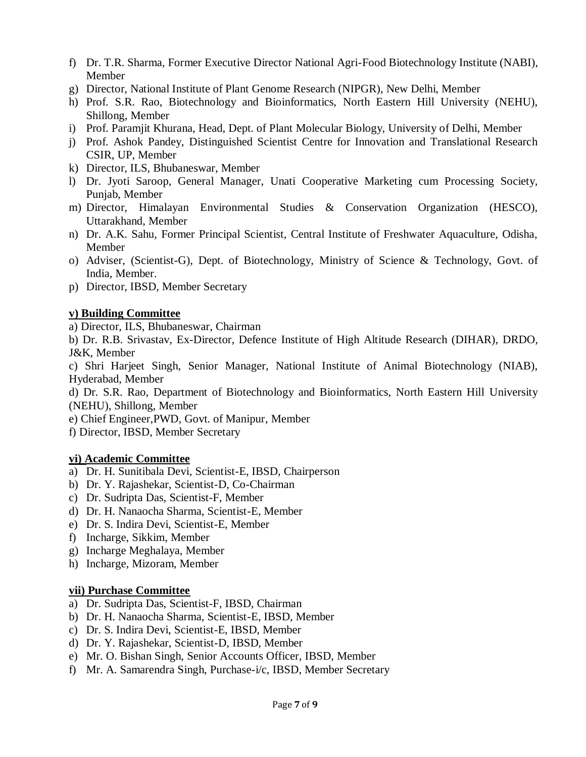- f) Dr. T.R. Sharma, Former Executive Director National Agri-Food Biotechnology Institute (NABI), Member
- g) Director, National Institute of Plant Genome Research (NIPGR), New Delhi, Member
- h) Prof. S.R. Rao, Biotechnology and Bioinformatics, North Eastern Hill University (NEHU), Shillong, Member
- i) Prof. Paramjit Khurana, Head, Dept. of Plant Molecular Biology, University of Delhi, Member
- j) Prof. Ashok Pandey, Distinguished Scientist Centre for Innovation and Translational Research CSIR, UP, Member
- k) Director, ILS, Bhubaneswar, Member
- l) Dr. Jyoti Saroop, General Manager, Unati Cooperative Marketing cum Processing Society, Punjab, Member
- m) Director, Himalayan Environmental Studies & Conservation Organization (HESCO), Uttarakhand, Member
- n) Dr. A.K. Sahu, Former Principal Scientist, Central Institute of Freshwater Aquaculture, Odisha, Member
- o) Adviser, (Scientist-G), Dept. of Biotechnology, Ministry of Science & Technology, Govt. of India, Member.
- p) Director, IBSD, Member Secretary

### **v) Building Committee**

a) Director, ILS, Bhubaneswar, Chairman

b) Dr. R.B. Srivastav, Ex-Director, Defence Institute of High Altitude Research (DIHAR), DRDO, J&K, Member

c) Shri Harjeet Singh, Senior Manager, National Institute of Animal Biotechnology (NIAB), Hyderabad, Member

d) Dr. S.R. Rao, Department of Biotechnology and Bioinformatics, North Eastern Hill University (NEHU), Shillong, Member

e) Chief Engineer,PWD, Govt. of Manipur, Member

f) Director, IBSD, Member Secretary

#### **vi) Academic Committee**

- a) Dr. H. Sunitibala Devi, Scientist-E, IBSD, Chairperson
- b) Dr. Y. Rajashekar, Scientist-D, Co-Chairman
- c) Dr. Sudripta Das, Scientist-F, Member
- d) Dr. H. Nanaocha Sharma, Scientist-E, Member
- e) Dr. S. Indira Devi, Scientist-E, Member
- f) Incharge, Sikkim, Member
- g) Incharge Meghalaya, Member
- h) Incharge, Mizoram, Member

#### **vii) Purchase Committee**

- a) Dr. Sudripta Das, Scientist-F, IBSD, Chairman
- b) Dr. H. Nanaocha Sharma, Scientist-E, IBSD, Member
- c) Dr. S. Indira Devi, Scientist-E, IBSD, Member
- d) Dr. Y. Rajashekar, Scientist-D, IBSD, Member
- e) Mr. O. Bishan Singh, Senior Accounts Officer, IBSD, Member
- f) Mr. A. Samarendra Singh, Purchase-i/c, IBSD, Member Secretary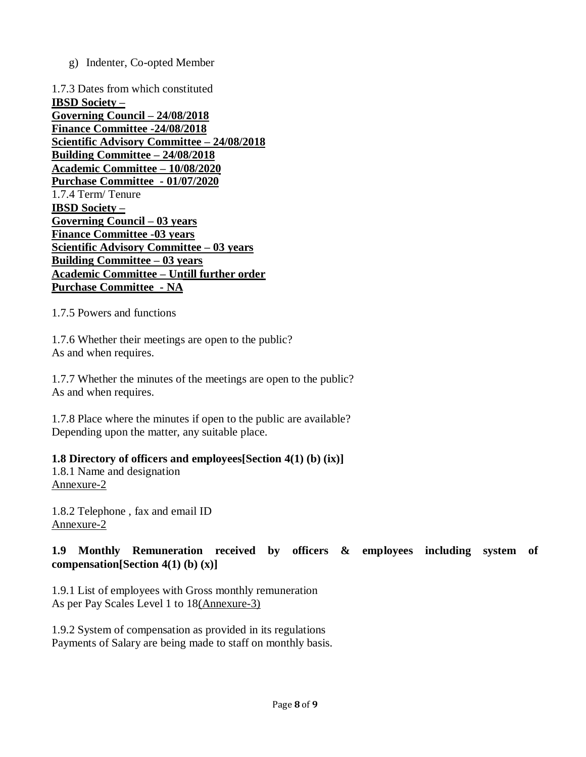g) Indenter, Co-opted Member

1.7.3 Dates from which constituted **IBSD Society – Governing Council – 24/08/2018 Finance Committee -24/08/2018 Scientific Advisory Committee – 24/08/2018 Building Committee – 24/08/2018 Academic Committee – 10/08/2020 Purchase Committee - 01/07/2020** 1.7.4 Term/ Tenure **IBSD Society – Governing Council – 03 years Finance Committee -03 years Scientific Advisory Committee – 03 years Building Committee – 03 years Academic Committee – Untill further order Purchase Committee - NA**

1.7.5 Powers and functions

1.7.6 Whether their meetings are open to the public? As and when requires.

1.7.7 Whether the minutes of the meetings are open to the public? As and when requires.

1.7.8 Place where the minutes if open to the public are available? Depending upon the matter, any suitable place.

### **1.8 Directory of officers and employees[Section 4(1) (b) (ix)]**

1.8.1 Name and designation [Annexure-2](http://www.cau.ac.in/construction/file/rti/Annexure-2.pdf)

1.8.2 Telephone , fax and email ID [Annexure-2](http://www.cau.ac.in/construction/file/rti/Annexure-2.pdf)

### **1.9 Monthly Remuneration received by officers & employees including system of compensation[Section 4(1) (b) (x)]**

1.9.1 List of employees with Gross monthly remuneration As per Pay Scales Level 1 to 1[8\(Annexure-3\)](https://cau.globizsapp.com/rti/file/rti/Annexure-3.pdf)

1.9.2 System of compensation as provided in its regulations Payments of Salary are being made to staff on monthly basis.